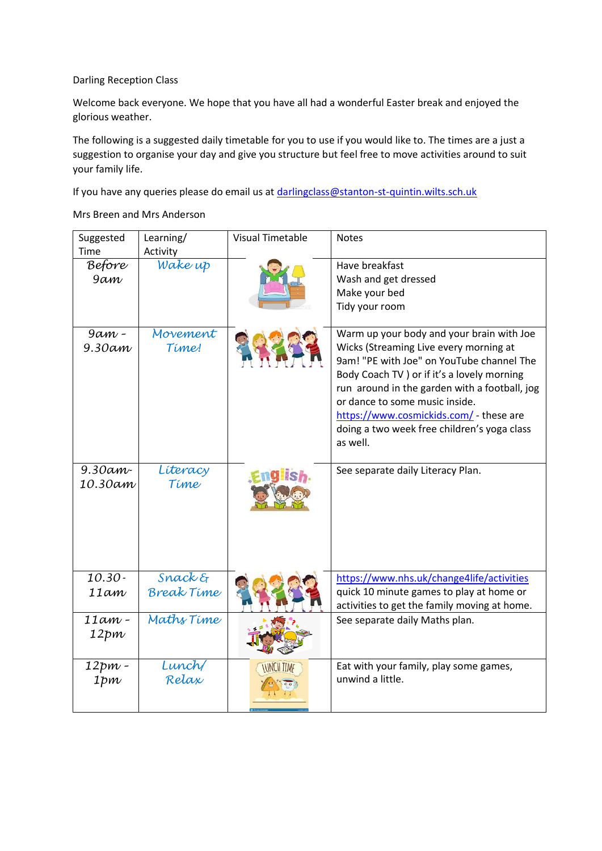## Darling Reception Class

Welcome back everyone. We hope that you have all had a wonderful Easter break and enjoyed the glorious weather.

The following is a suggested daily timetable for you to use if you would like to. The times are a just a suggestion to organise your day and give you structure but feel free to move activities around to suit your family life.

If you have any queries please do email us at [darlingclass@stanton-st-quintin.wilts.sch.uk](mailto:darlingclass@stanton-st-quintin.wilts.sch.uk)

Mrs Breen and Mrs Anderson

| Suggested<br>Time       | Learning/<br>Activity        | <b>Visual Timetable</b>  | <b>Notes</b>                                                                                                                                                                                                                                                                                                                                                             |
|-------------------------|------------------------------|--------------------------|--------------------------------------------------------------------------------------------------------------------------------------------------------------------------------------------------------------------------------------------------------------------------------------------------------------------------------------------------------------------------|
| <b>Before</b><br>9am    | Wake up                      |                          | Have breakfast<br>Wash and get dressed<br>Make your bed<br>Tidy your room                                                                                                                                                                                                                                                                                                |
| $9\alpha m$ -<br>9.30am | Movement<br>Time!            |                          | Warm up your body and your brain with Joe<br>Wicks (Streaming Live every morning at<br>9am! "PE with Joe" on YouTube channel The<br>Body Coach TV ) or if it's a lovely morning<br>run around in the garden with a football, jog<br>or dance to some music inside.<br>https://www.cosmickids.com/ - these are<br>doing a two week free children's yoga class<br>as well. |
| $9.30$ am-<br>10.30am   | Literacy<br>Time             |                          | See separate daily Literacy Plan.                                                                                                                                                                                                                                                                                                                                        |
| $10.30 -$<br>11am       | Snack &<br><b>Break Time</b> |                          | https://www.nhs.uk/change4life/activities<br>quick 10 minute games to play at home or<br>activities to get the family moving at home.                                                                                                                                                                                                                                    |
| $11am -$<br>12pm        | Maths Time                   |                          | See separate daily Maths plan.                                                                                                                                                                                                                                                                                                                                           |
| 12pm -<br>1pm           | Lunch<br>Relax               | <b><i>INNCH TIME</i></b> | Eat with your family, play some games,<br>unwind a little.                                                                                                                                                                                                                                                                                                               |